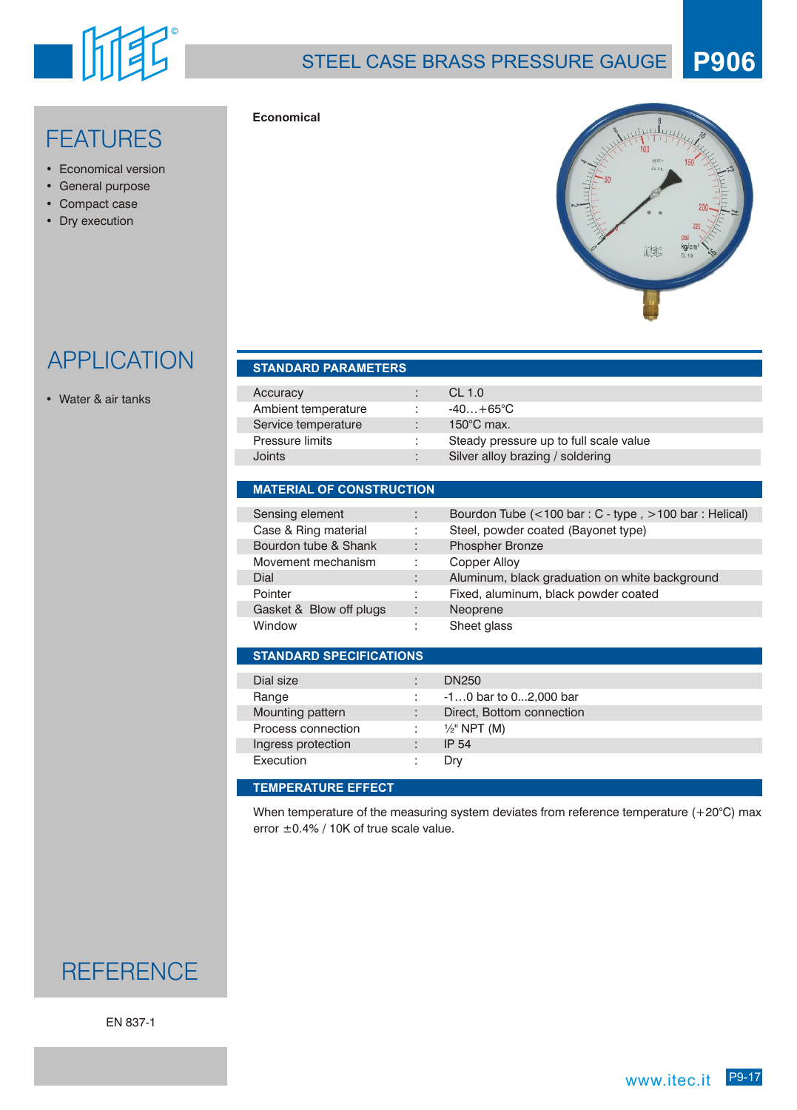

### STEEL CASE BRASS PRESSURE GAUGE **P906**

## FEATURES

- Economical version
- General purpose
- Compact case
- Dry execution



# APPLICATION

• Water & air tanks

#### **STANDARD SPECIFICATIONS STANDARD PARAMETERS MATERIAL OF CONSTRUCTION** Dial size : DN250 Range : -1...0 bar to 0...2,000 bar Mounting pattern : Direct, Bottom connection Process connection :  $\frac{1}{2}$ " NPT (M) Ingress protection : IP 54 Execution : Dry Accuracy : CL 1.0 Ambient temperature :  $-40...+65^{\circ}C$ Service temperature : 150°C max. Pressure limits : Steady pressure up to full scale value Joints : Silver alloy brazing / soldering Sensing element : Bourdon Tube (<100 bar : C - type , >100 bar : Helical) Case & Ring material : Steel, powder coated (Bayonet type) Bourdon tube & Shank : Phospher Bronze Movement mechanism : Copper Alloy Dial **Dial Communist Communist Communist Communist Communist Communist Communist Communist Communist Communist Communist Communist Communist Communist Communist Communist Communist Communist Communist Communist Communist C** Pointer : Fixed, aluminum, black powder coated Gasket & Blow off plugs : Neoprene Window : Sheet glass

#### **TEMPERATURE EFFECT**

**Economical**

When temperature of the measuring system deviates from reference temperature  $(+20^{\circ}C)$  max error ±0.4% / 10K of true scale value.

## **REFERENCE**

EN 837-1